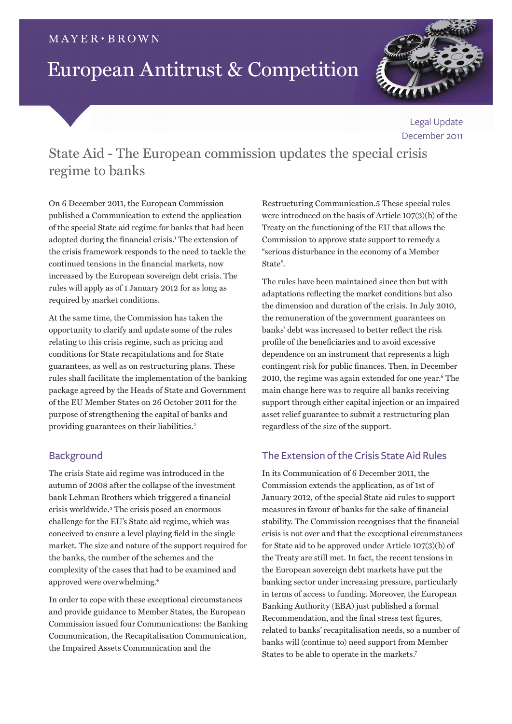## $MAYER \cdot BROWN$

# European Antitrust & Competition



Legal Update December 2011

State Aid - The European commission updates the special crisis regime to banks

On 6 December 2011, the European Commission published a Communication to extend the application of the special State aid regime for banks that had been adopted during the financial crisis.<sup>1</sup> The extension of the crisis framework responds to the need to tackle the continued tensions in the financial markets, now increased by the European sovereign debt crisis. The rules will apply as of 1 January 2012 for as long as required by market conditions.

At the same time, the Commission has taken the opportunity to clarify and update some of the rules relating to this crisis regime, such as pricing and conditions for State recapitulations and for State guarantees, as well as on restructuring plans. These rules shall facilitate the implementation of the banking package agreed by the Heads of State and Government of the EU Member States on 26 October 2011 for the purpose of strengthening the capital of banks and providing guarantees on their liabilities.<sup>2</sup>

# **Background**

The crisis State aid regime was introduced in the autumn of 2008 after the collapse of the investment bank Lehman Brothers which triggered a financial crisis worldwide.<sup>3</sup> The crisis posed an enormous challenge for the EU's State aid regime, which was conceived to ensure a level playing field in the single market. The size and nature of the support required for the banks, the number of the schemes and the complexity of the cases that had to be examined and approved were overwhelming.<sup>4</sup>

In order to cope with these exceptional circumstances and provide guidance to Member States, the European Commission issued four Communications: the Banking Communication, the Recapitalisation Communication, the Impaired Assets Communication and the

Restructuring Communication.5 These special rules were introduced on the basis of Article 107(3)(b) of the Treaty on the functioning of the EU that allows the Commission to approve state support to remedy a "serious disturbance in the economy of a Member State".

The rules have been maintained since then but with adaptations reflecting the market conditions but also the dimension and duration of the crisis. In July 2010, the remuneration of the government guarantees on banks' debt was increased to better reflect the risk profile of the beneficiaries and to avoid excessive dependence on an instrument that represents a high contingent risk for public finances. Then, in December 2010, the regime was again extended for one year.<sup>6</sup> The main change here was to require all banks receiving support through either capital injection or an impaired asset relief guarantee to submit a restructuring plan regardless of the size of the support.

# The Extension of the Crisis State Aid Rules

In its Communication of 6 December 2011, the Commission extends the application, as of 1st of January 2012, of the special State aid rules to support measures in favour of banks for the sake of financial stability. The Commission recognises that the financial crisis is not over and that the exceptional circumstances for State aid to be approved under Article 107(3)(b) of the Treaty are still met. In fact, the recent tensions in the European sovereign debt markets have put the banking sector under increasing pressure, particularly in terms of access to funding. Moreover, the European Banking Authority (EBA) just published a formal Recommendation, and the final stress test figures, related to banks' recapitalisation needs, so a number of banks will (continue to) need support from Member States to be able to operate in the markets.<sup>7</sup>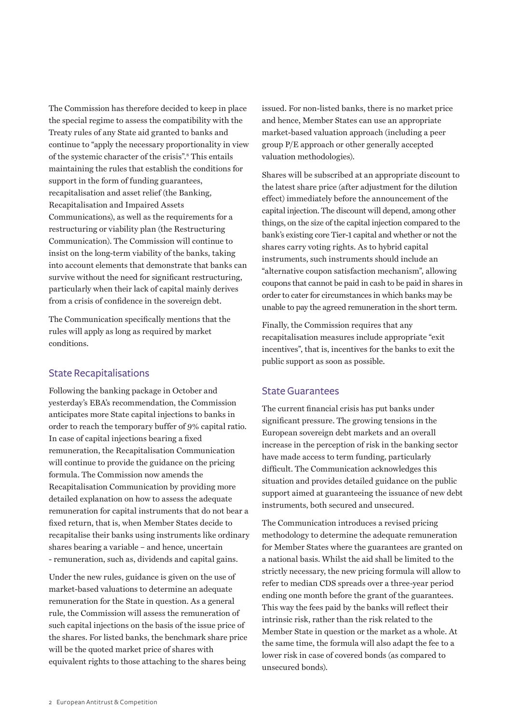The Commission has therefore decided to keep in place the special regime to assess the compatibility with the Treaty rules of any State aid granted to banks and continue to "apply the necessary proportionality in view of the systemic character of the crisis".<sup>8</sup> This entails maintaining the rules that establish the conditions for support in the form of funding guarantees, recapitalisation and asset relief (the Banking, Recapitalisation and Impaired Assets Communications), as well as the requirements for a restructuring or viability plan (the Restructuring Communication). The Commission will continue to insist on the long-term viability of the banks, taking into account elements that demonstrate that banks can survive without the need for significant restructuring, particularly when their lack of capital mainly derives from a crisis of confidence in the sovereign debt.

The Communication specifically mentions that the rules will apply as long as required by market conditions.

### State Recapitalisations

Following the banking package in October and yesterday's EBA's recommendation, the Commission anticipates more State capital injections to banks in order to reach the temporary buffer of 9% capital ratio. In case of capital injections bearing a fixed remuneration, the Recapitalisation Communication will continue to provide the guidance on the pricing formula. The Commission now amends the Recapitalisation Communication by providing more detailed explanation on how to assess the adequate remuneration for capital instruments that do not bear a fixed return, that is, when Member States decide to recapitalise their banks using instruments like ordinary shares bearing a variable – and hence, uncertain - remuneration, such as, dividends and capital gains.

Under the new rules, guidance is given on the use of market-based valuations to determine an adequate remuneration for the State in question. As a general rule, the Commission will assess the remuneration of such capital injections on the basis of the issue price of the shares. For listed banks, the benchmark share price will be the quoted market price of shares with equivalent rights to those attaching to the shares being

issued. For non-listed banks, there is no market price and hence, Member States can use an appropriate market-based valuation approach (including a peer group P/E approach or other generally accepted valuation methodologies).

Shares will be subscribed at an appropriate discount to the latest share price (after adjustment for the dilution effect) immediately before the announcement of the capital injection. The discount will depend, among other things, on the size of the capital injection compared to the bank's existing core Tier-1 capital and whether or not the shares carry voting rights. As to hybrid capital instruments, such instruments should include an "alternative coupon satisfaction mechanism", allowing coupons that cannot be paid in cash to be paid in shares in order to cater for circumstances in which banks may be unable to pay the agreed remuneration in the short term.

Finally, the Commission requires that any recapitalisation measures include appropriate "exit incentives", that is, incentives for the banks to exit the public support as soon as possible.

#### State Guarantees

The current financial crisis has put banks under significant pressure. The growing tensions in the European sovereign debt markets and an overall increase in the perception of risk in the banking sector have made access to term funding, particularly difficult. The Communication acknowledges this situation and provides detailed guidance on the public support aimed at guaranteeing the issuance of new debt instruments, both secured and unsecured.

The Communication introduces a revised pricing methodology to determine the adequate remuneration for Member States where the guarantees are granted on a national basis. Whilst the aid shall be limited to the strictly necessary, the new pricing formula will allow to refer to median CDS spreads over a three-year period ending one month before the grant of the guarantees. This way the fees paid by the banks will reflect their intrinsic risk, rather than the risk related to the Member State in question or the market as a whole. At the same time, the formula will also adapt the fee to a lower risk in case of covered bonds (as compared to unsecured bonds).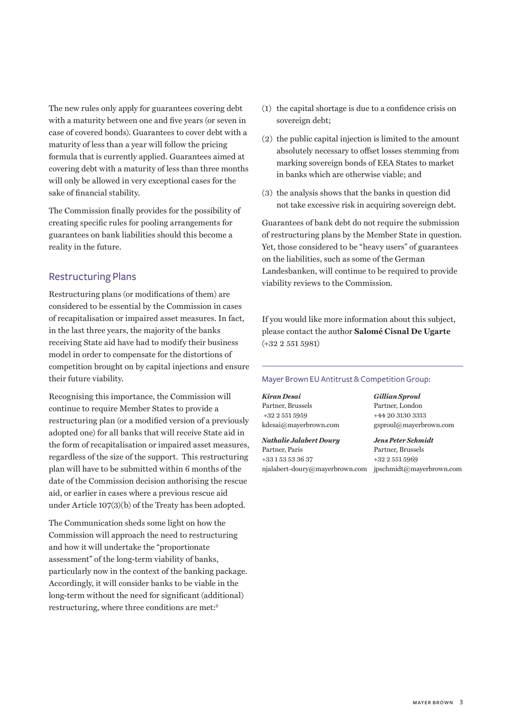The new rules only apply for guarantees covering debt with a maturity between one and five years (or seven in case of covered bonds). Guarantees to cover debt with a maturity of less than a year will follow the pricing formula that is currently applied. Guarantees aimed at covering debt with a maturity of less than three months will only be allowed in very exceptional cases for the sake of financial stability.

The Commission finally provides for the possibility of creating specific rules for pooling arrangements for guarantees on bank liabilities should this become a reality in the future.

### Restructuring Plans

Restructuring plans (or modifications of them) are considered to be essential by the Commission in cases of recapitalisation or impaired asset measures. In fact, in the last three years, the majority of the banks receiving State aid have had to modify their business model in order to compensate for the distortions of competition brought on by capital injections and ensure their future viability.

Recognising this importance, the Commission will continue to require Member States to provide a restructuring plan (or a modified version of a previously adopted one) for all banks that will receive State aid in the form of recapitalisation or impaired asset measures, regardless of the size of the support. This restructuring plan will have to be submitted within 6 months of the date of the Commission decision authorising the rescue aid, or earlier in cases where a previous rescue aid under Article 107(3)(b) of the Treaty has been adopted.

The Communication sheds some light on how the Commission will approach the need to restructuring and how it will undertake the "proportionate assessment" of the long-term viability of banks, particularly now in the context of the banking package. Accordingly, it will consider banks to be viable in the long-term without the need for significant (additional) restructuring, where three conditions are met:9

- (1) the capital shortage is due to a confidence crisis on sovereign debt;
- (2) the public capital injection is limited to the amount absolutely necessary to offset losses stemming from marking sovereign bonds of EEA States to market in banks which are otherwise viable; and
- (3) the analysis shows that the banks in question did not take excessive risk in acquiring sovereign debt.

Guarantees of bank debt do not require the submission of restructuring plans by the Member State in question. Yet, those considered to be "heavy users" of guarantees on the liabilities, such as some of the German Landesbanken, will continue to be required to provide viability reviews to the Commission.

If you would like more information about this subject, please contact the author **[Salomé Cisnal De Ugarte](SCisnalDeUgarte@mayerbrown.com)** (+32 2 551 5981)

#### Mayer Brown EU Antitrust & Competition Group:

Partner, Brussels Partner, London +32 2 551 5959 +44 20 3130 3313

*Nathalie Jalabert Doury Jens Peter Schmidt* Partner, Paris Partner, Brussels +33 1 53 53 36 37 +32 2 551 5969 [njalabert-doury@mayerbrown.co](mailto:njalabert-doury@mayerbrown.com)m [jpschmidt@mayerbrown.co](mailto:jpschmidt@mayerbrown.com)m

*Kiran Desai Gillian Sproul* [kdesai@mayerbrown.co](mailto:kdesai@mayerbrown.com)m [gsproul@mayerbrown.co](mailto:gsproul@mayerbrown.com)m